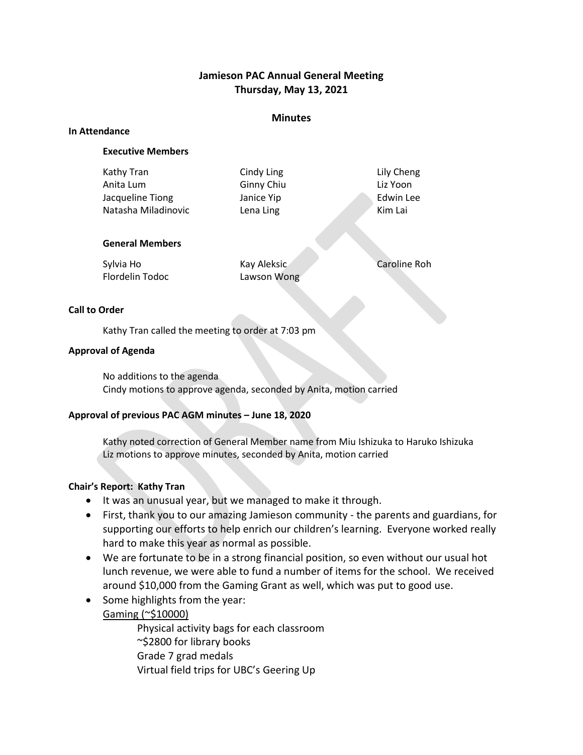## **Jamieson PAC Annual General Meeting Thursday, May 13, 2021**

### **Minutes**

#### **In Attendance**

### **Executive Members**

| Kathy Tran             | Cindy Ling | Lily Cheng |
|------------------------|------------|------------|
| Anita Lum              | Ginny Chiu | Liz Yoon   |
| Jacqueline Tiong       | Janice Yip | Edwin Lee  |
| Natasha Miladinovic    | Lena Ling  | Kim Lai    |
| <b>General Members</b> |            |            |

| Sylvia Ho       | Kay Aleksic | Caroline Roh |
|-----------------|-------------|--------------|
| Flordelin Todoc | Lawson Wong |              |

### **Call to Order**

Kathy Tran called the meeting to order at 7:03 pm

### **Approval of Agenda**

No additions to the agenda Cindy motions to approve agenda, seconded by Anita, motion carried

### **Approval of previous PAC AGM minutes – June 18, 2020**

Kathy noted correction of General Member name from Miu Ishizuka to Haruko Ishizuka Liz motions to approve minutes, seconded by Anita, motion carried

### **Chair's Report: Kathy Tran**

- It was an unusual year, but we managed to make it through.
- First, thank you to our amazing Jamieson community the parents and guardians, for supporting our efforts to help enrich our children's learning. Everyone worked really hard to make this year as normal as possible.
- We are fortunate to be in a strong financial position, so even without our usual hot lunch revenue, we were able to fund a number of items for the school. We received around \$10,000 from the Gaming Grant as well, which was put to good use.
- Some highlights from the year: Gaming (~\$10000)

Physical activity bags for each classroom ~\$2800 for library books Grade 7 grad medals Virtual field trips for UBC's Geering Up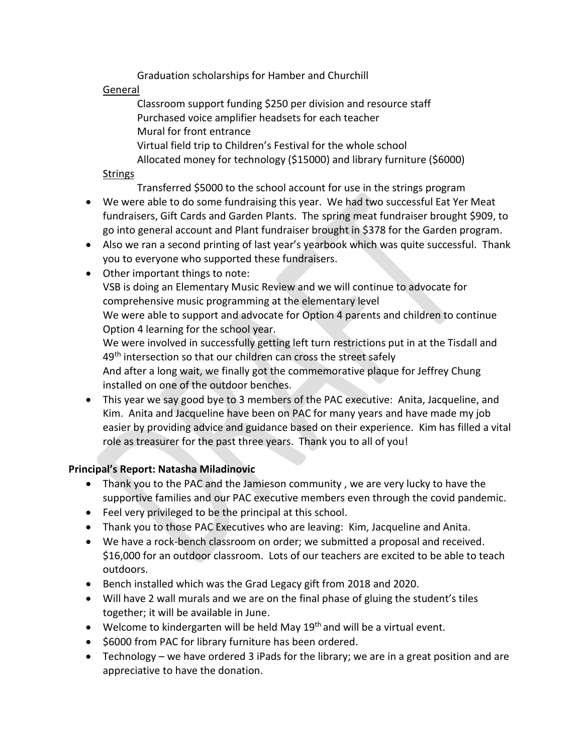Graduation scholarships for Hamber and Churchill

# General

Classroom support funding \$250 per division and resource staff Purchased voice amplifier headsets for each teacher Mural for front entrance Virtual field trip to Children's Festival for the whole school Allocated money for technology (\$15000) and library furniture (\$6000)

## **Strings**

Transferred \$5000 to the school account for use in the strings program

- We were able to do some fundraising this year. We had two successful Eat Yer Meat fundraisers, Gift Cards and Garden Plants. The spring meat fundraiser brought \$909, to go into general account and Plant fundraiser brought in \$378 for the Garden program.
- Also we ran a second printing of last year's yearbook which was quite successful. Thank you to everyone who supported these fundraisers.
- Other important things to note:

VSB is doing an Elementary Music Review and we will continue to advocate for comprehensive music programming at the elementary level

We were able to support and advocate for Option 4 parents and children to continue Option 4 learning for the school year.

We were involved in successfully getting left turn restrictions put in at the Tisdall and 49<sup>th</sup> intersection so that our children can cross the street safely

And after a long wait, we finally got the commemorative plaque for Jeffrey Chung installed on one of the outdoor benches.

• This year we say good bye to 3 members of the PAC executive: Anita, Jacqueline, and Kim. Anita and Jacqueline have been on PAC for many years and have made my job easier by providing advice and guidance based on their experience. Kim has filled a vital role as treasurer for the past three years. Thank you to all of you!

# **Principal's Report: Natasha Miladinovic**

- Thank you to the PAC and the Jamieson community , we are very lucky to have the supportive families and our PAC executive members even through the covid pandemic.
- Feel very privileged to be the principal at this school.
- Thank you to those PAC Executives who are leaving: Kim, Jacqueline and Anita.
- We have a rock-bench classroom on order; we submitted a proposal and received. \$16,000 for an outdoor classroom. Lots of our teachers are excited to be able to teach outdoors.
- Bench installed which was the Grad Legacy gift from 2018 and 2020.
- Will have 2 wall murals and we are on the final phase of gluing the student's tiles together; it will be available in June.
- Welcome to kindergarten will be held May  $19<sup>th</sup>$  and will be a virtual event.
- \$6000 from PAC for library furniture has been ordered.
- Technology we have ordered 3 iPads for the library; we are in a great position and are appreciative to have the donation.